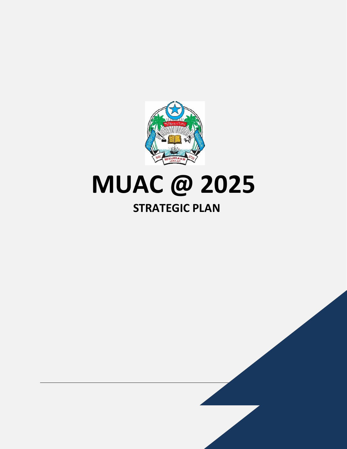

# **MUAC @ 2025**

## **STRATEGIC PLAN**

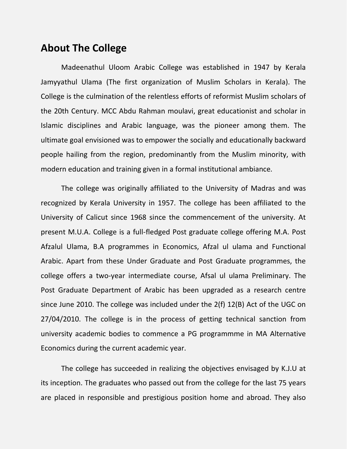### **About The College**

Madeenathul Uloom Arabic College was established in 1947 by Kerala Jamyyathul Ulama (The first organization of Muslim Scholars in Kerala). The College is the culmination of the relentless efforts of reformist Muslim scholars of the 20th Century. MCC Abdu Rahman moulavi, great educationist and scholar in Islamic disciplines and Arabic language, was the pioneer among them. The ultimate goal envisioned was to empower the socially and educationally backward people hailing from the region, predominantly from the Muslim minority, with modern education and training given in a formal institutional ambiance.

The college was originally affiliated to the University of Madras and was recognized by Kerala University in 1957. The college has been affiliated to the University of Calicut since 1968 since the commencement of the university. At present M.U.A. College is a full-fledged Post graduate college offering M.A. Post Afzalul Ulama, B.A programmes in Economics, Afzal ul ulama and Functional Arabic. Apart from these Under Graduate and Post Graduate programmes, the college offers a two-year intermediate course, Afsal ul ulama Preliminary. The Post Graduate Department of Arabic has been upgraded as a research centre since June 2010. The college was included under the 2(f) 12(B) Act of the UGC on 27/04/2010. The college is in the process of getting technical sanction from university academic bodies to commence a PG programmme in MA Alternative Economics during the current academic year.

The college has succeeded in realizing the objectives envisaged by K.J.U at its inception. The graduates who passed out from the college for the last 75 years are placed in responsible and prestigious position home and abroad. They also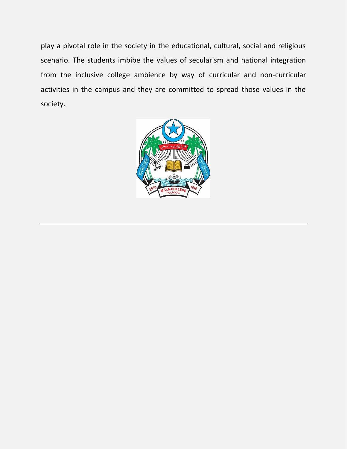play a pivotal role in the society in the educational, cultural, social and religious scenario. The students imbibe the values of secularism and national integration from the inclusive college ambience by way of curricular and non-curricular activities in the campus and they are committed to spread those values in the society.

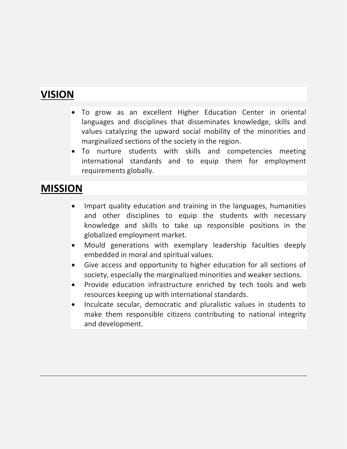## **VISION**

- To grow as an excellent Higher Education Center in oriental languages and disciplines that disseminates knowledge, skills and values catalyzing the upward social mobility of the minorities and marginalized sections of the society in the region.
- To nurture students with skills and competencies meeting international standards and to equip them for employment requirements globally.

## **MISSION**

- Impart quality education and training in the languages, humanities and other disciplines to equip the students with necessary knowledge and skills to take up responsible positions in the globalized employment market.
- Mould generations with exemplary leadership faculties deeply embedded in moral and spiritual values.
- Give access and opportunity to higher education for all sections of society, especially the marginalized minorities and weaker sections.
- Provide education infrastructure enriched by tech tools and web resources keeping up with international standards.
- Inculcate secular, democratic and pluralistic values in students to make them responsible citizens contributing to national integrity and development.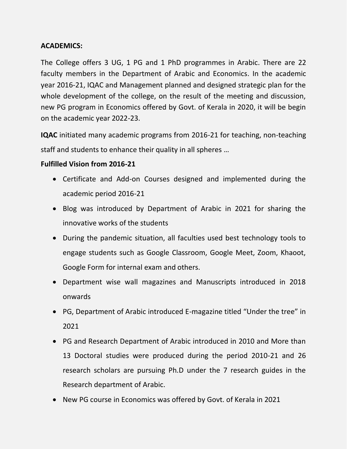#### **ACADEMICS:**

The College offers 3 UG, 1 PG and 1 PhD programmes in Arabic. There are 22 faculty members in the Department of Arabic and Economics. In the academic year 2016-21, IQAC and Management planned and designed strategic plan for the whole development of the college, on the result of the meeting and discussion, new PG program in Economics offered by Govt. of Kerala in 2020, it will be begin on the academic year 2022-23.

**IQAC** initiated many academic programs from 2016-21 for teaching, non-teaching staff and students to enhance their quality in all spheres …

#### **Fulfilled Vision from 2016-21**

- Certificate and Add-on Courses designed and implemented during the academic period 2016-21
- Blog was introduced by Department of Arabic in 2021 for sharing the innovative works of the students
- During the pandemic situation, all faculties used best technology tools to engage students such as Google Classroom, Google Meet, Zoom, Khaoot, Google Form for internal exam and others.
- Department wise wall magazines and Manuscripts introduced in 2018 onwards
- PG, Department of Arabic introduced E-magazine titled "Under the tree" in 2021
- PG and Research Department of Arabic introduced in 2010 and More than 13 Doctoral studies were produced during the period 2010-21 and 26 research scholars are pursuing Ph.D under the 7 research guides in the Research department of Arabic.
- New PG course in Economics was offered by Govt. of Kerala in 2021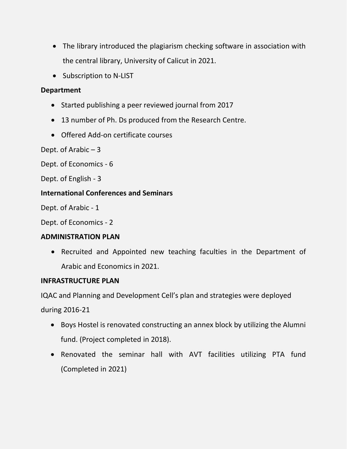- The library introduced the plagiarism checking software in association with the central library, University of Calicut in 2021.
- Subscription to N-LIST

#### **Department**

- Started publishing a peer reviewed journal from 2017
- 13 number of Ph. Ds produced from the Research Centre.
- Offered Add-on certificate courses

Dept. of Arabic – 3

Dept. of Economics - 6

Dept. of English - 3

#### **International Conferences and Seminars**

Dept. of Arabic - 1

Dept. of Economics - 2

#### **ADMINISTRATION PLAN**

• Recruited and Appointed new teaching faculties in the Department of Arabic and Economics in 2021.

#### **INFRASTRUCTURE PLAN**

IQAC and Planning and Development Cell's plan and strategies were deployed

during 2016-21

- Boys Hostel is renovated constructing an annex block by utilizing the Alumni fund. (Project completed in 2018).
- Renovated the seminar hall with AVT facilities utilizing PTA fund (Completed in 2021)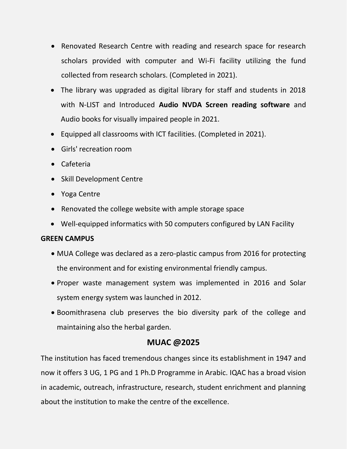- Renovated Research Centre with reading and research space for research scholars provided with computer and Wi-Fi facility utilizing the fund collected from research scholars. (Completed in 2021).
- The library was upgraded as digital library for staff and students in 2018 with N-LIST and Introduced **Audio NVDA Screen reading software** and Audio books for visually impaired people in 2021.
- Equipped all classrooms with ICT facilities. (Completed in 2021).
- Girls' recreation room
- Cafeteria
- Skill Development Centre
- Yoga Centre
- Renovated the college website with ample storage space
- Well-equipped informatics with 50 computers configured by LAN Facility

#### **GREEN CAMPUS**

- MUA College was declared as a zero-plastic campus from 2016 for protecting the environment and for existing environmental friendly campus.
- Proper waste management system was implemented in 2016 and Solar system energy system was launched in 2012.
- Boomithrasena club preserves the bio diversity park of the college and maintaining also the herbal garden.

#### **MUAC @2025**

The institution has faced tremendous changes since its establishment in 1947 and now it offers 3 UG, 1 PG and 1 Ph.D Programme in Arabic. IQAC has a broad vision in academic, outreach, infrastructure, research, student enrichment and planning about the institution to make the centre of the excellence.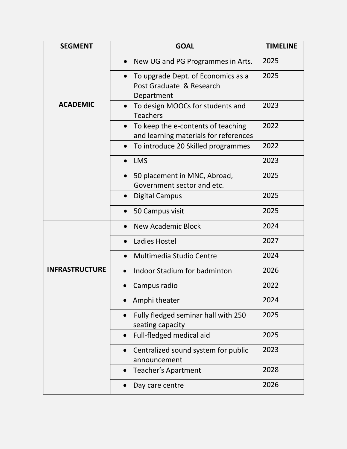| <b>SEGMENT</b>        | <b>GOAL</b>                                                                              | <b>TIMELINE</b> |
|-----------------------|------------------------------------------------------------------------------------------|-----------------|
|                       | New UG and PG Programmes in Arts.                                                        | 2025            |
|                       | To upgrade Dept. of Economics as a<br>Post Graduate & Research<br>Department             | 2025            |
| <b>ACADEMIC</b>       | To design MOOCs for students and<br>$\bullet$<br><b>Teachers</b>                         | 2023            |
|                       | To keep the e-contents of teaching<br>$\bullet$<br>and learning materials for references | 2022            |
|                       | To introduce 20 Skilled programmes                                                       | 2022            |
|                       | <b>LMS</b>                                                                               | 2023            |
|                       | 50 placement in MNC, Abroad,<br>Government sector and etc.                               | 2025            |
|                       | <b>Digital Campus</b>                                                                    | 2025            |
|                       | 50 Campus visit                                                                          | 2025            |
|                       | <b>New Academic Block</b>                                                                | 2024            |
|                       | Ladies Hostel                                                                            | 2027            |
|                       | <b>Multimedia Studio Centre</b>                                                          | 2024            |
| <b>INFRASTRUCTURE</b> | <b>Indoor Stadium for badminton</b>                                                      | 2026            |
|                       | Campus radio                                                                             | 2022            |
|                       | Amphi theater                                                                            | 2024            |
|                       | Fully fledged seminar hall with 250<br>$\bullet$<br>seating capacity                     | 2025            |
|                       | Full-fledged medical aid<br>$\bullet$                                                    | 2025            |
|                       | Centralized sound system for public<br>announcement                                      | 2023            |
|                       | Teacher's Apartment<br>$\bullet$                                                         | 2028            |
|                       | Day care centre                                                                          | 2026            |